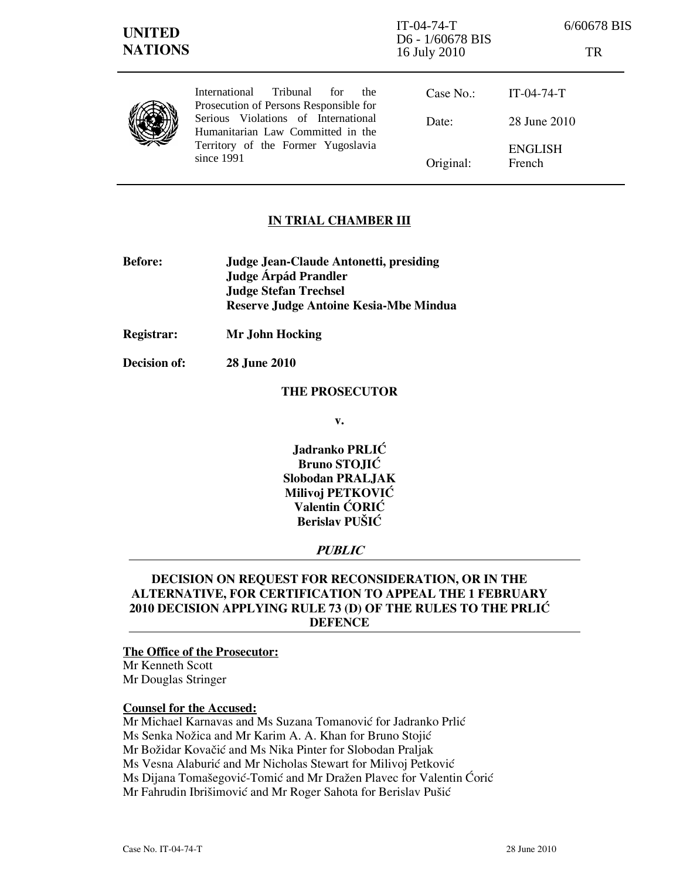| <b>UNITED</b><br><b>NATIONS</b> |                                                                                                                                                                                                                          | $IT-04-74-T$<br>D6 - 1/60678 BIS<br>16 July 2010 | 6/60678 BIS<br>TR        |
|---------------------------------|--------------------------------------------------------------------------------------------------------------------------------------------------------------------------------------------------------------------------|--------------------------------------------------|--------------------------|
|                                 | <b>International</b><br>Tribunal<br>for<br>the<br>Prosecution of Persons Responsible for<br>Serious Violations of International<br>Humanitarian Law Committed in the<br>Territory of the Former Yugoslavia<br>since 1991 | Case No.:                                        | $IT-04-74-T$             |
|                                 |                                                                                                                                                                                                                          | Date:                                            | 28 June 2010             |
|                                 |                                                                                                                                                                                                                          | Original:                                        | <b>ENGLISH</b><br>French |

## IN TRIAL CHAMBER III

- Before: Judge Jean-Claude Antonetti, presiding Judge **Árpád Prandler**  Judge Stefan Trechsel Reserve Judge Antoine Kesia-Mbe Mindua
- Registrar: Mr John Hocking

Decision of: 28 June 2010

### THE PROSECUTOR

v.

Jadranko PRLIĆ Bruno STOJIĆ Slobodan PRALJAK Milivoj PETKOVIĆ Valentin ĆORIĆ Berislav PUŠIĆ

## PUBLIC

## DECISION ON REQUEST FOR RECONSIDERATION, OR IN THE ALTERNATIVE, FOR CERTIFICATION TO APPEAL THE 1 FEBRUARY 2010 DECISION APPLYING RULE 73 (D) OF THE RULES TO THE PRLIC DEFENCE

### The Office of the Prosecutor:

Mr Kenneth Scott Mr Douglas Stringer

## Counsel for the Accused:

Mr Michael Karnavas and Ms Suzana Tomanović for Jadranko Prlić Ms Senka Nožica and Mr Karim A. A. Khan for Bruno Stojić Mr Božidar Kovačić and Ms Nika Pinter for Slobodan Praljak Ms Vesna Alaburić and Mr Nicholas Stewart for Milivoj Petković Ms Dijana Tomašegović-Tomić and Mr Dražen Plavec for Valentin Ćorić Mr Fahrudin Ibrišimović and Mr Roger Sahota for Berislav Pušić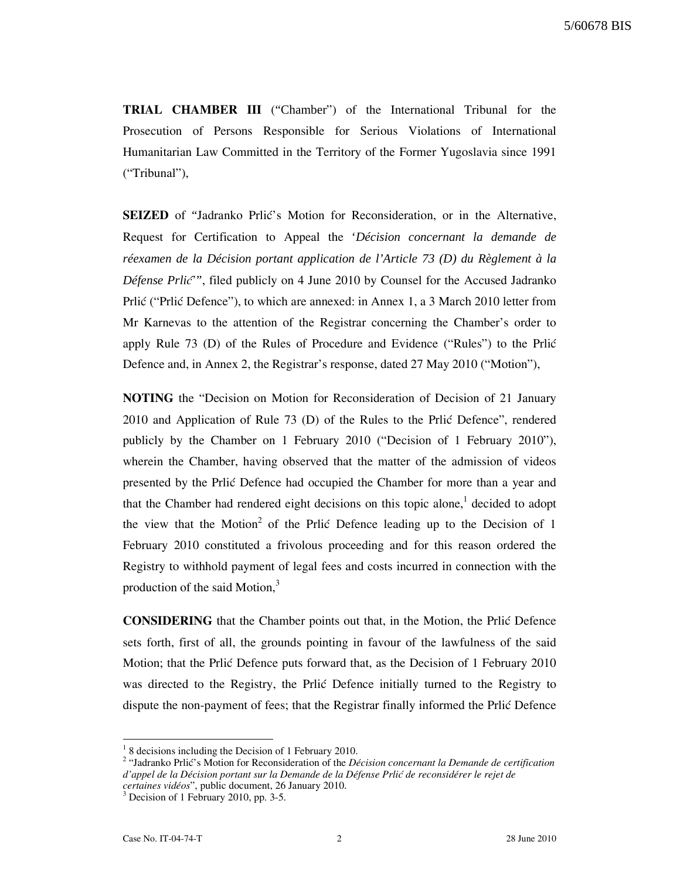TRIAL CHAMBER III ("Chamber") of the International Tribunal for the Prosecution of Persons Responsible for Serious Violations of International Humanitarian Law Committed in the Territory of the Former Yugoslavia since 1991 ("Tribunal"),

SEIZED of "Jadranko Prlić's Motion for Reconsideration, or in the Alternative, Request for Certification to Appeal the '*Décision concernant la demande de réexamen de la Décision portant application de l'Article 73 (D) du Règlement à la Défense Prlić*"', filed publicly on 4 June 2010 by Counsel for the Accused Jadranko Prlić ("Prlić Defence"), to which are annexed: in Annex 1, a 3 March 2010 letter from Mr Karnevas to the attention of the Registrar concerning the Chamber's order to apply Rule 73 (D) of the Rules of Procedure and Evidence ("Rules") to the Priic Defence and, in Annex 2, the Registrar's response, dated 27 May 2010 ("Motion"),

NOTING the "Decision on Motion for Reconsideration of Decision of 21 January  $2010$  and Application of Rule 73 (D) of the Rules to the Prlić Defence", rendered publicly by the Chamber on 1 February 2010 ("Decision of 1 February 2010"), wherein the Chamber, having observed that the matter of the admission of videos presented by the Prlic Defence had occupied the Chamber for more than a year and that the Chamber had rendered eight decisions on this topic alone,<sup>1</sup> decided to adopt the view that the Motion<sup>2</sup> of the Prlić Defence leading up to the Decision of 1 February 2010 constituted a frivolous proceeding and for this reason ordered the Registry to withhold payment of legal fees and costs incurred in connection with the production of the said Motion, $3$ 

CONSIDERING that the Chamber points out that, in the Motion, the Prli} Defence sets forth, first of all, the grounds pointing in favour of the lawfulness of the said Motion; that the Price Defence puts forward that, as the Decision of 1 February 2010 was directed to the Registry, the Prlić Defence initially turned to the Registry to dispute the non-payment of fees; that the Registrar finally informed the Prlić Defence

l

<sup>&</sup>lt;sup>1</sup> 8 decisions including the Decision of 1 February 2010.

 $2$  "Jadranko Prlić's Motion for Reconsideration of the *Décision concernant la Demande de certification* d'appel de la Décision portant sur la Demande de la Défense Prlić de reconsidérer le rejet de certaines vidéos", public document, 26 January 2010.<br><sup>3</sup> Decision of 1 February 2010, np. 3.5.

 $3$  Decision of 1 February 2010, pp. 3-5.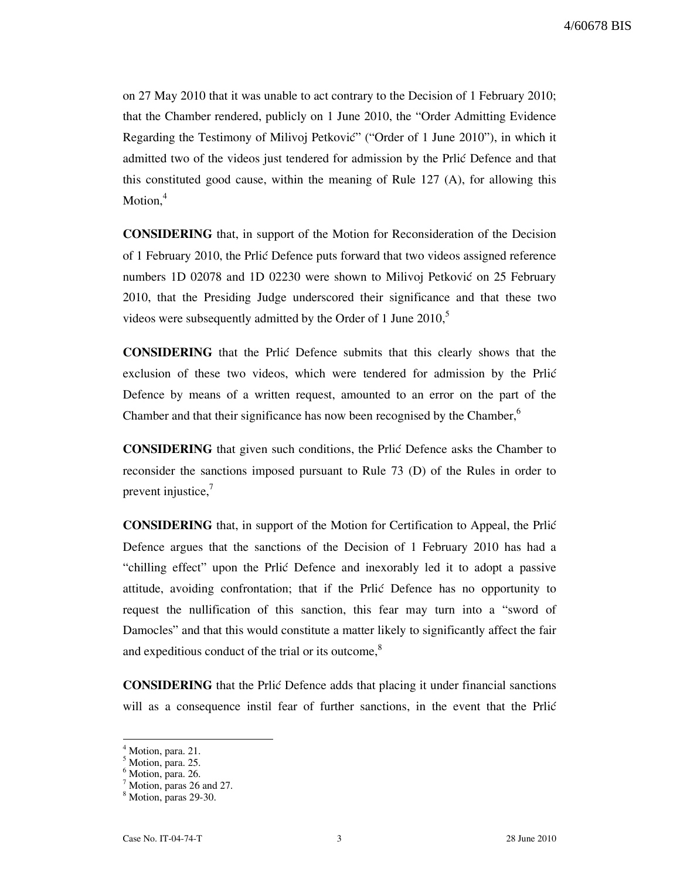on 27 May 2010 that it was unable to act contrary to the Decision of 1 February 2010; that the Chamber rendered, publicly on 1 June 2010, the "Order Admitting Evidence Regarding the Testimony of Milivoj Petković" ("Order of 1 June 2010"), in which it admitted two of the videos just tendered for admission by the Prlić Defence and that this constituted good cause, within the meaning of Rule 127 (A), for allowing this Motion.<sup>4</sup>

CONSIDERING that, in support of the Motion for Reconsideration of the Decision of 1 February 2010, the Prlić Defence puts forward that two videos assigned reference numbers 1D 02078 and 1D 02230 were shown to Milivoj Petković on 25 February 2010, that the Presiding Judge underscored their significance and that these two videos were subsequently admitted by the Order of 1 June  $2010$ , $\degree$ 

CONSIDERING that the Prli} Defence submits that this clearly shows that the exclusion of these two videos, which were tendered for admission by the Prlic Defence by means of a written request, amounted to an error on the part of the Chamber and that their significance has now been recognised by the Chamber,<sup>6</sup>

**CONSIDERING** that given such conditions, the Prlic Defence asks the Chamber to reconsider the sanctions imposed pursuant to Rule 73 (D) of the Rules in order to prevent injustice, $\frac{7}{2}$ 

CONSIDERING that, in support of the Motion for Certification to Appeal, the Prli} Defence argues that the sanctions of the Decision of 1 February 2010 has had a "chilling effect" upon the Prlić Defence and inexorably led it to adopt a passive attitude, avoiding confrontation; that if the Prlic Defence has no opportunity to request the nullification of this sanction, this fear may turn into a "sword of Damocles" and that this would constitute a matter likely to significantly affect the fair and expeditious conduct of the trial or its outcome,<sup>8</sup>

**CONSIDERING** that the Prlic Defence adds that placing it under financial sanctions will as a consequence instil fear of further sanctions, in the event that the Prlić

 $\overline{a}$ 

<sup>4</sup> Motion, para. 21.

<sup>5</sup> Motion, para. 25.

<sup>&</sup>lt;sup>6</sup> Motion, para. 26.

<sup>&</sup>lt;sup>7</sup> Motion, paras 26 and 27.

<sup>8</sup> Motion, paras 29-30.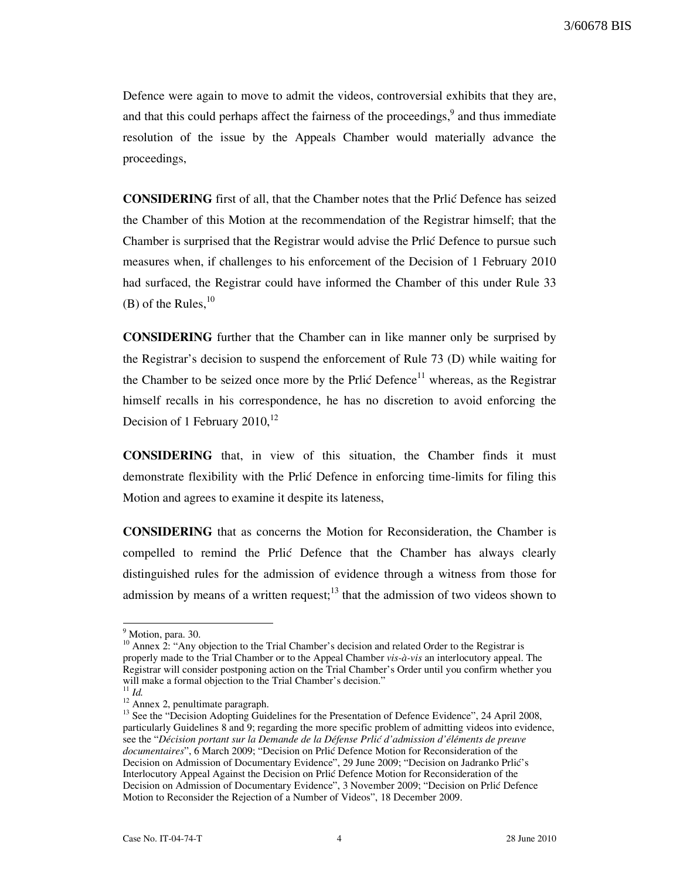Defence were again to move to admit the videos, controversial exhibits that they are, and that this could perhaps affect the fairness of the proceedings,  $9$  and thus immediate resolution of the issue by the Appeals Chamber would materially advance the proceedings,

**CONSIDERING** first of all, that the Chamber notes that the Prlic Defence has seized the Chamber of this Motion at the recommendation of the Registrar himself; that the Chamber is surprised that the Registrar would advise the Prlić Defence to pursue such measures when, if challenges to his enforcement of the Decision of 1 February 2010 had surfaced, the Registrar could have informed the Chamber of this under Rule 33 (B) of the Rules,  $^{10}$ 

CONSIDERING further that the Chamber can in like manner only be surprised by the Registrar's decision to suspend the enforcement of Rule 73 (D) while waiting for the Chamber to be seized once more by the Prlić Defence<sup>11</sup> whereas, as the Registrar himself recalls in his correspondence, he has no discretion to avoid enforcing the Decision of 1 February  $2010$ ,<sup>12</sup>

CONSIDERING that, in view of this situation, the Chamber finds it must demonstrate flexibility with the Prlic Defence in enforcing time-limits for filing this Motion and agrees to examine it despite its lateness,

CONSIDERING that as concerns the Motion for Reconsideration, the Chamber is compelled to remind the Prlic Defence that the Chamber has always clearly distinguished rules for the admission of evidence through a witness from those for admission by means of a written request;<sup>13</sup> that the admission of two videos shown to

l

<sup>&</sup>lt;sup>9</sup> Motion, para. 30.

 $10$  Annex 2: "Any objection to the Trial Chamber's decision and related Order to the Registrar is properly made to the Trial Chamber or to the Appeal Chamber vis-à-vis an interlocutory appeal. The Registrar will consider postponing action on the Trial Chamber's Order until you confirm whether you will make a formal objection to the Trial Chamber's decision."

 $11$  *Id.* 

 $12$  Annex 2, penultimate paragraph.

<sup>&</sup>lt;sup>13</sup> See the "Decision Adopting Guidelines for the Presentation of Defence Evidence", 24 April 2008, particularly Guidelines 8 and 9; regarding the more specific problem of admitting videos into evidence, see the "Décision portant sur la Demande de la Défense Prlić d'admission d'éléments de preuve documentaires", 6 March 2009; "Decision on Prlić Defence Motion for Reconsideration of the Decision on Admission of Documentary Evidence", 29 June 2009; "Decision on Jadranko Prlić's Interlocutory Appeal Against the Decision on Prlić Defence Motion for Reconsideration of the Decision on Admission of Documentary Evidence", 3 November 2009; "Decision on Prlić Defence Motion to Reconsider the Rejection of a Number of Videos", 18 December 2009.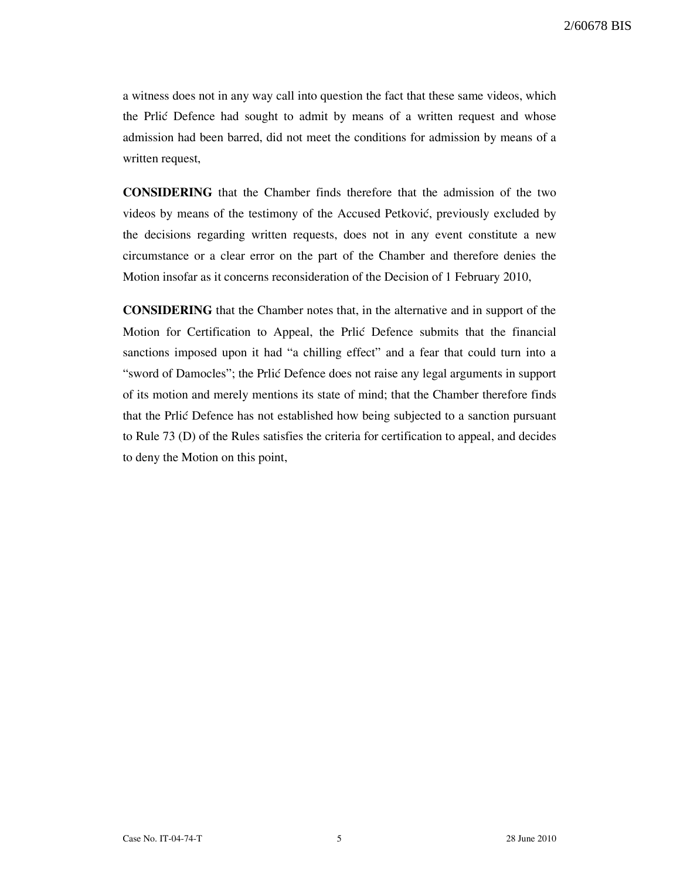a witness does not in any way call into question the fact that these same videos, which the Prlic Defence had sought to admit by means of a written request and whose admission had been barred, did not meet the conditions for admission by means of a written request,

CONSIDERING that the Chamber finds therefore that the admission of the two videos by means of the testimony of the Accused Petković, previously excluded by the decisions regarding written requests, does not in any event constitute a new circumstance or a clear error on the part of the Chamber and therefore denies the Motion insofar as it concerns reconsideration of the Decision of 1 February 2010,

CONSIDERING that the Chamber notes that, in the alternative and in support of the Motion for Certification to Appeal, the Prlic Defence submits that the financial sanctions imposed upon it had "a chilling effect" and a fear that could turn into a "sword of Damocles"; the Prlić Defence does not raise any legal arguments in support of its motion and merely mentions its state of mind; that the Chamber therefore finds that the Prlić Defence has not established how being subjected to a sanction pursuant to Rule 73 (D) of the Rules satisfies the criteria for certification to appeal, and decides to deny the Motion on this point,